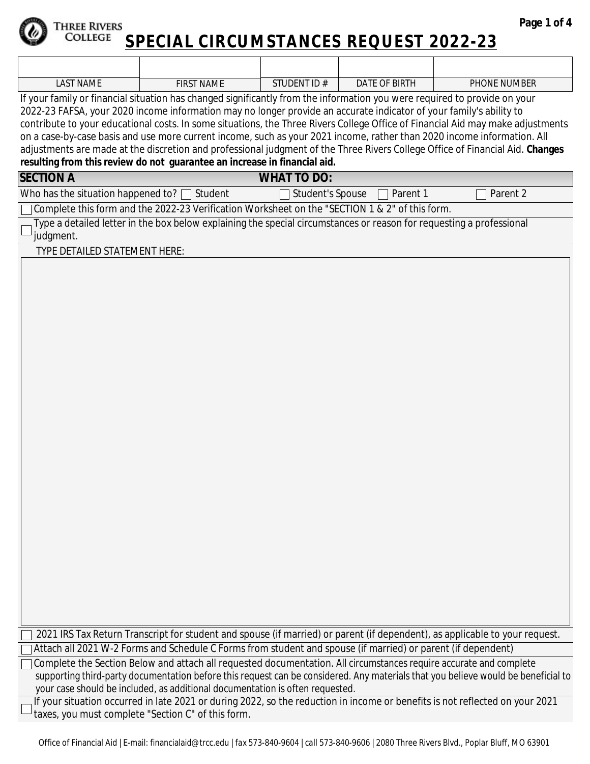

#### Three Rivers  COLLEGE **SPECIAL CIRCUMSTANCES REQUEST 2022-23**

| LAST<br><b>NAME</b> | <b>NAME</b><br>FIRST | STUDENT ID# | DATE OF BIRTH | <b>PHONE NUMBER</b> |
|---------------------|----------------------|-------------|---------------|---------------------|

If your family or financial situation has changed significantly from the information you were required to provide on your 2022-23 FAFSA, your 2020 income information may no longer provide an accurate indicator of your family's ability to contribute to your educational costs. In some situations, the Three Rivers College Office of Financial Aid may make adjustments on a case-by-case basis and use more current income, such as your 2021 income, rather than 2020 income information. All adjustments are made at the discretion and professional judgment of the Three Rivers College Office of Financial Aid. **Changes resulting from this review** *do not* **guarantee an increase in financial aid.**

| <b>SECTION A</b>                                                                                      | <b>WHAT TO DO:</b>                      |            |
|-------------------------------------------------------------------------------------------------------|-----------------------------------------|------------|
| Who has the situation happened to? $\Box$ Student                                                     | $\Box$ Student's Spouse $\Box$ Parent 1 | 7 Parent 2 |
| $\Box$ Complete this form and the 2022-23 Verification Worksheet on the "SECTION 1 & 2" of this form. |                                         |            |

Type a detailed letter in the box below explaining the special circumstances or reason for requesting a professional judgment.

TYPE DETAILED STATEMENT HERE:

| $\Box$ 2021 IRS Tax Return Transcript for student and spouse (if married) or parent (if dependent), as applicable to your request. |  |
|------------------------------------------------------------------------------------------------------------------------------------|--|
|------------------------------------------------------------------------------------------------------------------------------------|--|

Attach all 2021 W-2 Forms and Schedule C Forms from student and spouse (if married) or parent (if dependent)

Complete the Section Below and attach all requested documentation. All circumstances require accurate and complete supporting third-party documentation before this request can be considered. Any materials that you believe would be beneficial to your case should be included, as additional documentation is often requested.

If your situation occurred in late 2021 or during 2022, so the reduction in income or benefits is not reflected on your 2021 taxes, you must complete "Section C" of this form.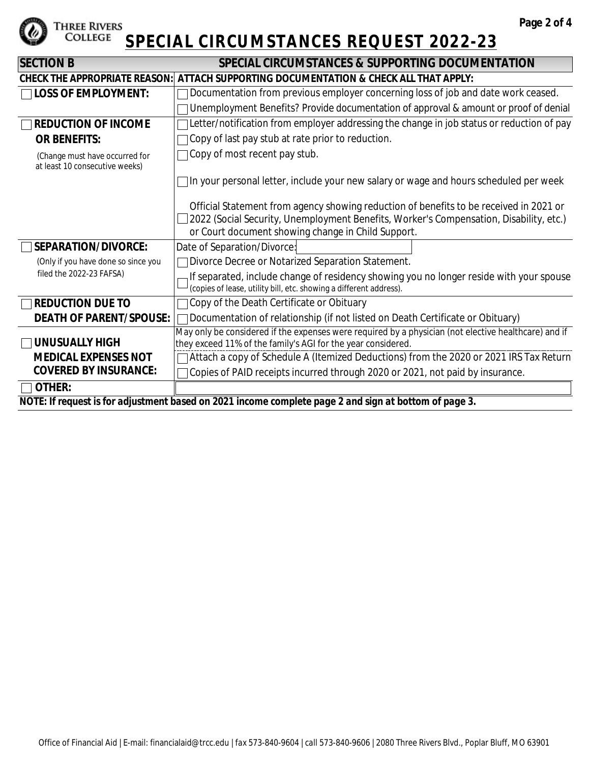

## **SPECIAL CIRCUMSTANCES REQUEST 2022-23**

| <b>SECTION B</b>                                                 | SPECIAL CIRCUMSTANCES & SUPPORTING DOCUMENTATION                                                                                                              |  |  |  |  |
|------------------------------------------------------------------|---------------------------------------------------------------------------------------------------------------------------------------------------------------|--|--|--|--|
| <b>CHECK THE APPROPRIATE REASON:</b>                             | ATTACH SUPPORTING DOCUMENTATION & CHECK ALL THAT APPLY:                                                                                                       |  |  |  |  |
| $\sqcap$ LOSS OF EMPLOYMENT:                                     | Documentation from previous employer concerning loss of job and date work ceased.                                                                             |  |  |  |  |
|                                                                  | Unemployment Benefits? Provide documentation of approval & amount or proof of denial                                                                          |  |  |  |  |
| <b>REDUCTION OF INCOME</b>                                       | Letter/notification from employer addressing the change in job status or reduction of pay                                                                     |  |  |  |  |
| <b>OR BENEFITS:</b>                                              | Copy of last pay stub at rate prior to reduction.                                                                                                             |  |  |  |  |
| (Change must have occurred for<br>at least 10 consecutive weeks) | ○ Copy of most recent pay stub.                                                                                                                               |  |  |  |  |
|                                                                  | 1n your personal letter, include your new salary or wage and hours scheduled per week                                                                         |  |  |  |  |
|                                                                  | Official Statement from agency showing reduction of benefits to be received in 2021 or                                                                        |  |  |  |  |
|                                                                  | 2022 (Social Security, Unemployment Benefits, Worker's Compensation, Disability, etc.)                                                                        |  |  |  |  |
|                                                                  | or Court document showing change in Child Support.                                                                                                            |  |  |  |  |
| SEPARATION/DIVORCE:                                              | Date of Separation/Divorce:                                                                                                                                   |  |  |  |  |
| (Only if you have done so since you                              | Divorce Decree or Notarized Separation Statement.                                                                                                             |  |  |  |  |
| filed the 2022-23 FAFSA)                                         | If separated, include change of residency showing you no longer reside with your spouse<br>(copies of lease, utility bill, etc. showing a different address). |  |  |  |  |
| <b>REDUCTION DUE TO</b>                                          | Copy of the Death Certificate or Obituary                                                                                                                     |  |  |  |  |
| <b>DEATH OF PARENT/SPOUSE:</b>                                   | Documentation of relationship (if not listed on Death Certificate or Obituary)                                                                                |  |  |  |  |
|                                                                  | May only be considered if the expenses were required by a physician (not elective healthcare) and if                                                          |  |  |  |  |
| <b>UNUSUALLY HIGH</b>                                            | they exceed 11% of the family's AGI for the year considered.                                                                                                  |  |  |  |  |
| <b>MEDICAL EXPENSES NOT</b>                                      | Attach a copy of Schedule A (Itemized Deductions) from the 2020 or 2021 IRS Tax Return                                                                        |  |  |  |  |
| <b>COVERED BY INSURANCE:</b>                                     | Copies of PAID receipts incurred through 2020 or 2021, not paid by insurance.                                                                                 |  |  |  |  |
| <b>OTHER:</b>                                                    |                                                                                                                                                               |  |  |  |  |
|                                                                  | NOTE: If request is for adjustment based on 2021 income complete page 2 and sign at bottom of page 3.                                                         |  |  |  |  |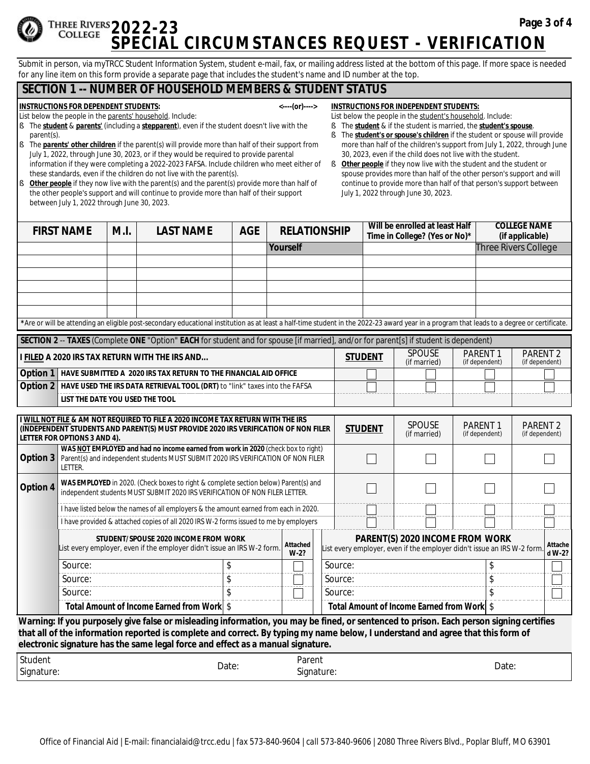### **THREE RIVERS 2022-23 COLLEGE SPECIAL CIRCUMSTANCES REQUEST - VERIFICATION**

Submit in person, via myTRCC Student Information System, student e-mail, fax, or mailing address listed at the bottom of this page. If more space is needed for any line item on this form provide a separate page that includes the student's name and ID number at the top.

## **SECTION 1 -- NUMBER OF HOUSEHOLD MEMBERS & STUDENT STATUS**

#### **INSTRUCTIONS FOR** *DEPENDENT* **STUDENTS: <----(or)---->**

List below the people in the parents' household. Include:

- § The *student* & *parents'* (including a *stepparent*), even if the student doesn't live with the parent(s).
- § The *parents' other children* if the parent(s) will provide more than half of their support from July 1, 2022, through June 30, 2023, or if they would be required to provide parental information if they were completing a 2022-2023 FAFSA. Include children who meet either of these standards, even if the children do not live with the parent(s).
- **§** Other people if they now live with the parent(s) and the parent(s) provide more than half of the other people's support and will continue to provide more than half of their support between July 1, 2022 through June 30, 2023.
- **INSTRUCTIONS FOR** *INDEPENDENT* **STUDENTS:**
- List below the people in the student's household. Include:
- § The *student* & if the student is married, the *student's spouse*. § The **student's or spouse's children** if the student or spouse will provide more than half of the children's support from July 1, 2022, through June
- 30, 2023, even if the child does not live with the student. **§** Other people if they now live with the student and the student or spouse provides more than half of the other person's support and will continue to provide more than half of that person's support between July 1, 2022 through June 30, 2023.

|          | <b>FIRST NAME</b>                                                                                                                                                                                                                                  | M.I. | <b>LAST NAME</b>                                                                                                                                                                                                                                                                                                                                              | <b>AGE</b> |                                            | <b>RELATIONSHIP</b> |  |                   |               | Will be enrolled at least Half |                                  |                     | <b>COLLEGE NAME</b>               |  |
|----------|----------------------------------------------------------------------------------------------------------------------------------------------------------------------------------------------------------------------------------------------------|------|---------------------------------------------------------------------------------------------------------------------------------------------------------------------------------------------------------------------------------------------------------------------------------------------------------------------------------------------------------------|------------|--------------------------------------------|---------------------|--|-------------------|---------------|--------------------------------|----------------------------------|---------------------|-----------------------------------|--|
|          |                                                                                                                                                                                                                                                    |      |                                                                                                                                                                                                                                                                                                                                                               |            |                                            |                     |  |                   |               | Time in College? (Yes or No)*  |                                  |                     | (if applicable)                   |  |
|          |                                                                                                                                                                                                                                                    |      |                                                                                                                                                                                                                                                                                                                                                               |            | Yourself                                   |                     |  |                   |               |                                |                                  |                     | Three Rivers College              |  |
|          |                                                                                                                                                                                                                                                    |      |                                                                                                                                                                                                                                                                                                                                                               |            |                                            |                     |  |                   |               |                                |                                  |                     |                                   |  |
|          |                                                                                                                                                                                                                                                    |      |                                                                                                                                                                                                                                                                                                                                                               |            |                                            |                     |  |                   |               |                                | $\overline{\phantom{0}}$         |                     |                                   |  |
|          |                                                                                                                                                                                                                                                    |      |                                                                                                                                                                                                                                                                                                                                                               |            |                                            |                     |  |                   |               |                                | $\overline{\phantom{0}}$         |                     |                                   |  |
|          |                                                                                                                                                                                                                                                    |      |                                                                                                                                                                                                                                                                                                                                                               |            |                                            |                     |  |                   |               |                                | $\overline{\phantom{0}}$         |                     |                                   |  |
|          |                                                                                                                                                                                                                                                    |      |                                                                                                                                                                                                                                                                                                                                                               |            |                                            |                     |  |                   |               |                                | $\overline{\phantom{a}}$         |                     |                                   |  |
|          |                                                                                                                                                                                                                                                    |      | *Are or will be attending an eligible post-secondary educational institution as at least a half-time student in the 2022-23 award year in a program that leads to a degree or certificate.                                                                                                                                                                    |            |                                            |                     |  |                   |               |                                |                                  |                     |                                   |  |
|          |                                                                                                                                                                                                                                                    |      | SECTION 2 -- TAXES (Complete ONE "Option" EACH for student and for spouse [if married], and/or for parent[s] if student is dependent)                                                                                                                                                                                                                         |            |                                            |                     |  |                   |               |                                |                                  |                     |                                   |  |
|          |                                                                                                                                                                                                                                                    |      | I FILED A 2020 IRS TAX RETURN WITH THE IRS AND                                                                                                                                                                                                                                                                                                                |            |                                            |                     |  | <b>STUDENT</b>    |               | <b>SPOUSE</b><br>(if married)  | <b>PARENT1</b><br>(if dependent) |                     | <b>PARENT 2</b><br>(if dependent) |  |
|          |                                                                                                                                                                                                                                                    |      | Option 1   HAVE SUBMITTED A 2020 IRS TAX RETURN TO THE FINANCIAL AID OFFICE                                                                                                                                                                                                                                                                                   |            |                                            |                     |  |                   |               |                                |                                  |                     |                                   |  |
| Option 2 |                                                                                                                                                                                                                                                    |      | HAVE USED THE IRS DATA RETRIEVAL TOOL (DRT) to "link" taxes into the FAFSA                                                                                                                                                                                                                                                                                    |            |                                            |                     |  |                   |               |                                |                                  |                     |                                   |  |
|          | LIST THE DATE YOU USED THE TOOL                                                                                                                                                                                                                    |      |                                                                                                                                                                                                                                                                                                                                                               |            |                                            |                     |  |                   |               |                                |                                  |                     |                                   |  |
|          |                                                                                                                                                                                                                                                    |      |                                                                                                                                                                                                                                                                                                                                                               |            |                                            |                     |  |                   |               |                                |                                  |                     |                                   |  |
|          |                                                                                                                                                                                                                                                    |      | I WILL NOT FILE & AM NOT REQUIRED TO FILE A 2020 INCOME TAX RETURN WITH THE IRS<br>(INDEPENDENT STUDENTS AND PARENT(S) MUST PROVIDE 2020 IRS VERIFICATION OF NON FILER                                                                                                                                                                                        |            |                                            |                     |  | <b>STUDENT</b>    | <b>SPOUSE</b> | PARENT <sub>1</sub>            |                                  | PARENT <sub>2</sub> |                                   |  |
|          | LETTER FOR OPTIONS 3 AND 4).                                                                                                                                                                                                                       |      |                                                                                                                                                                                                                                                                                                                                                               |            |                                            |                     |  |                   |               | (if married)                   | (if dependent)                   |                     | (if dependent)                    |  |
|          |                                                                                                                                                                                                                                                    |      | WAS NOT EMPLOYED and had no income earned from work in 2020 (check box to right)                                                                                                                                                                                                                                                                              |            |                                            |                     |  |                   |               |                                |                                  |                     |                                   |  |
| Option 3 | Parent(s) and independent students MUST SUBMIT 2020 IRS VERIFICATION OF NON FILER<br>LETTER.                                                                                                                                                       |      |                                                                                                                                                                                                                                                                                                                                                               |            |                                            |                     |  |                   |               |                                |                                  |                     |                                   |  |
| Option 4 | WAS EMPLOYED in 2020. (Check boxes to right & complete section below) Parent(s) and<br>independent students MUST SUBMIT 2020 IRS VERIFICATION OF NON FILER LETTER.                                                                                 |      |                                                                                                                                                                                                                                                                                                                                                               |            |                                            |                     |  |                   |               |                                |                                  |                     |                                   |  |
|          |                                                                                                                                                                                                                                                    |      |                                                                                                                                                                                                                                                                                                                                                               |            |                                            |                     |  |                   |               |                                |                                  |                     |                                   |  |
|          |                                                                                                                                                                                                                                                    |      | I have listed below the names of all employers & the amount earned from each in 2020.                                                                                                                                                                                                                                                                         |            |                                            |                     |  |                   |               |                                |                                  |                     |                                   |  |
|          |                                                                                                                                                                                                                                                    |      | I have provided & attached copies of all 2020 IRS W-2 forms issued to me by employers                                                                                                                                                                                                                                                                         |            |                                            |                     |  |                   |               |                                |                                  |                     |                                   |  |
|          | STUDENT/SPOUSE 2020 INCOME FROM WORK<br>PARENT(S) 2020 INCOME FROM WORK<br>Attached<br>List every employer, even if the employer didn't issue an IRS W-2 form.<br>List every employer, even if the employer didn't issue an IRS W-2 form<br>$W-2?$ |      |                                                                                                                                                                                                                                                                                                                                                               |            |                                            |                     |  | Attache<br>d W-2? |               |                                |                                  |                     |                                   |  |
|          | Source:                                                                                                                                                                                                                                            |      |                                                                                                                                                                                                                                                                                                                                                               | \$         |                                            |                     |  | Source:           |               |                                |                                  | \$                  |                                   |  |
|          | Source:                                                                                                                                                                                                                                            |      |                                                                                                                                                                                                                                                                                                                                                               | \$         |                                            |                     |  | Source:           |               |                                |                                  | \$                  |                                   |  |
|          | Source:                                                                                                                                                                                                                                            |      |                                                                                                                                                                                                                                                                                                                                                               |            |                                            |                     |  | Source:           |               |                                |                                  |                     |                                   |  |
|          |                                                                                                                                                                                                                                                    |      | Total Amount of Income Earned from Work \$                                                                                                                                                                                                                                                                                                                    |            | Total Amount of Income Earned from Work \$ |                     |  |                   |               |                                |                                  |                     |                                   |  |
|          |                                                                                                                                                                                                                                                    |      | Warning: If you purposely give false or misleading information, you may be fined, or sentenced to prison. Each person signing certifies<br>that all of the information reported is complete and correct. By typing my name below, I understand and agree that this form of<br>electronic signature has the same legal force and effect as a manual signature. |            |                                            |                     |  |                   |               |                                |                                  |                     |                                   |  |

| Student    |       | Parent           |       |
|------------|-------|------------------|-------|
| Signature: | Date: | ~.<br>Signature: | Date: |